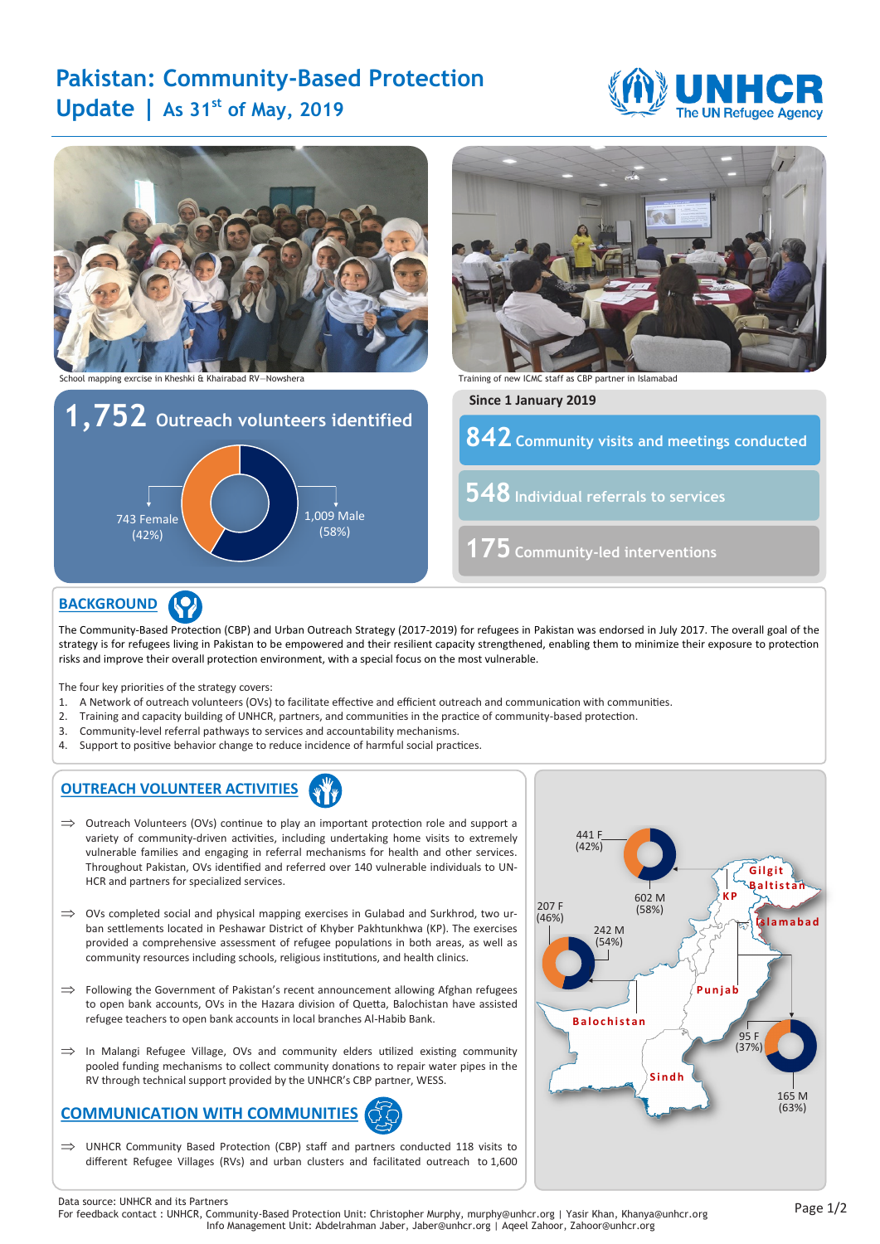# **Pakistan: Community-Based Protection Update | As 31st of May, 2019**





# **BACKGROUND**

The Community-Based Protection (CBP) and Urban Outreach Strategy (2017-2019) for refugees in Pakistan was endorsed in July 2017. The overall goal of the strategy is for refugees living in Pakistan to be empowered and their resilient capacity strengthened, enabling them to minimize their exposure to protection risks and improve their overall protection environment, with a special focus on the most vulnerable.

The four key priorities of the strategy covers:

- 1. A Network of outreach volunteers (OVs) to facilitate effective and efficient outreach and communication with communities.
- 2. Training and capacity building of UNHCR, partners, and communities in the practice of community-based protection.
- 3. Community-level referral pathways to services and accountability mechanisms.
- 4. Support to positive behavior change to reduce incidence of harmful social practices.

### **OUTREACH VOLUNTEER ACTIVITIES**

- $\implies$  Outreach Volunteers (OVs) continue to play an important protection role and support a variety of community-driven activities, including undertaking home visits to extremely vulnerable families and engaging in referral mechanisms for health and other services. Throughout Pakistan, OVs identified and referred over 140 vulnerable individuals to UN-HCR and partners for specialized services.
- $\implies$  OVs completed social and physical mapping exercises in Gulabad and Surkhrod, two urban settlements located in Peshawar District of Khyber Pakhtunkhwa (KP). The exercises provided a comprehensive assessment of refugee populations in both areas, as well as community resources including schools, religious institutions, and health clinics.
- $\Rightarrow$  Following the Government of Pakistan's recent announcement allowing Afghan refugees to open bank accounts, OVs in the Hazara division of Quetta, Balochistan have assisted refugee teachers to open bank accounts in local branches Al-Habib Bank.
- $\implies$  In Malangi Refugee Village, OVs and community elders utilized existing community pooled funding mechanisms to collect community donations to repair water pipes in the RV through technical support provided by the UNHCR's CBP partner, WESS.

# **COMMUNICATION WITH COMMUNITIES**

 $\implies$  UNHCR Community Based Protection (CBP) staff and partners conducted 118 visits to different Refugee Villages (RVs) and urban clusters and facilitated outreach to 1,600



Page 1/2 Data source: UNHCR and its Partners For feedback contact : UNHCR, Community-Based Protection Unit: Christopher Murphy, murphy@unhcr.org | Yasir Khan, Khanya@unhcr.org Info Management Unit: Abdelrahman Jaber, Jaber@unhcr.org | Aqeel Zahoor, Zahoor@unhcr.org